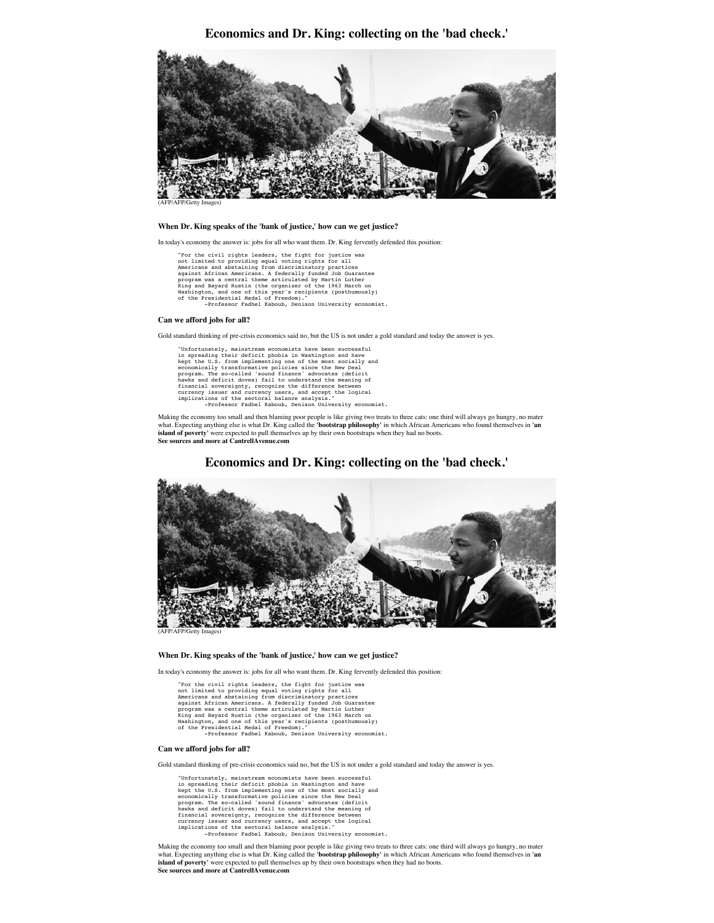**Economics and Dr. King: collecting on the 'bad check.'**



(AFP/AFP/Getty Images)

#### **When Dr. King speaks of the 'bank of justice,' how can we get justice?**

In today's economy the answer is: jobs for all who want them. Dr. King fervently defended this position:

"For the civil rights leaders, the fight for justice was<br>not limited to providing equal voting rights for all<br>Americans and abstaining from discriminatory practices<br>program was a central theme articulated by Martin Luther<br>

### **Can we afford jobs for all?**

Gold standard thinking of pre-crisis economics said no, but the US is not under a gold standard and today the answer is yes.

"Unfortunately, mainstream economists have been successful in spreading their deficit phobia in Washington and have Rept the U.S. from implementing one of the most socially and<br>economically transformative policies since the New Deal<br>program. The so-called 'sound finance' advocates (deficit<br>flawks and deficit doves) fail to understand th -Professor Fadhel Kaboub, Denison University economist.

Making the economy too small and then blaming poor people is like giving two treats to three cats: one third will always go hungry, no mater<br>what. Expecting anything else is what Dr. King called the '**bootstrap philosophy island of poverty'** were expected to pull themselves up by their own bootstraps when they had no boots. **See sources and more at CantrellAvenue.com**



# **Economics and Dr. King: collecting on the 'bad check.'**

### **When Dr. King speaks of the 'bank of justice,' how can we get justice?**

In today's economy the answer is: jobs for all who want them. Dr. King fervently defended this position:

"For the civil rights leaders, the fight for justice was<br>not limited to providing equal voting rights for all<br>Americans and abstaining from discriminatory practices<br>against African Americans. A federally funded Job Guarant of the Presidential Medal of Freedom)." -Professor Fadhel Kaboub, Denison University economist.

### **Can we afford jobs for all?**

Gold standard thinking of pre-crisis economics said no, but the US is not under a gold standard and today the answer is yes.

"Unfortunately, mainstream economists have been successful<br>in spreading their deficit phobia in Washington and have<br>kept the U.S. from implementing one of the most socially and<br>economically transformative policies since th

Making the economy too small and then blaming poor people is like giving two treats to three cats: one third will always go hungry, no mater what. Expecting anything else is what Dr. King called the **'bootstrap philosophy'** in which African Americans who found themselves in **'an island of poverty'** were expected to pull themselves up by their own bootstraps when they had no boots. **See sources and more at CantrellAvenue.com**